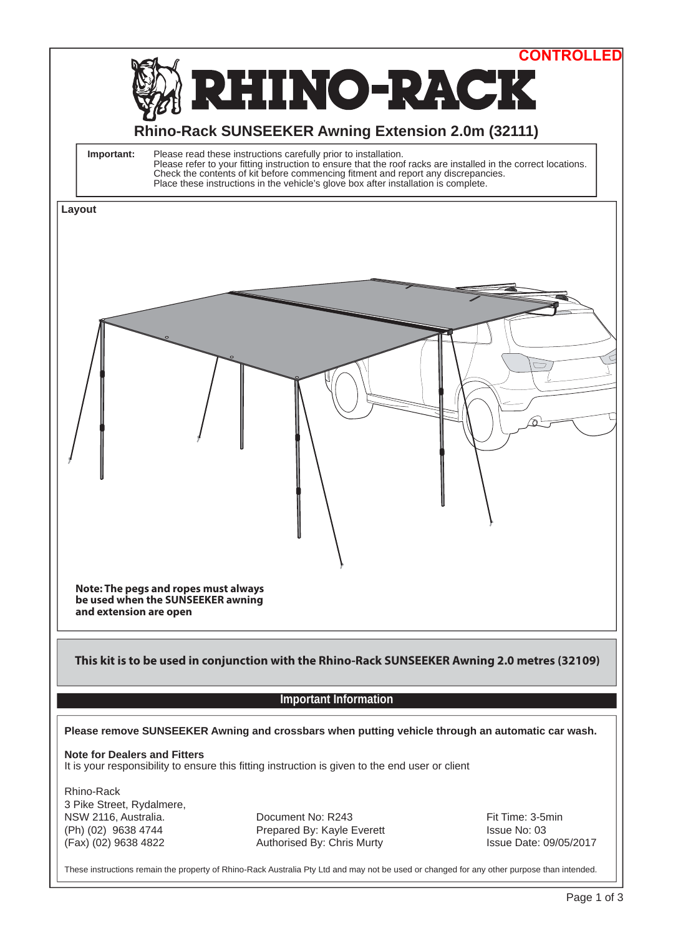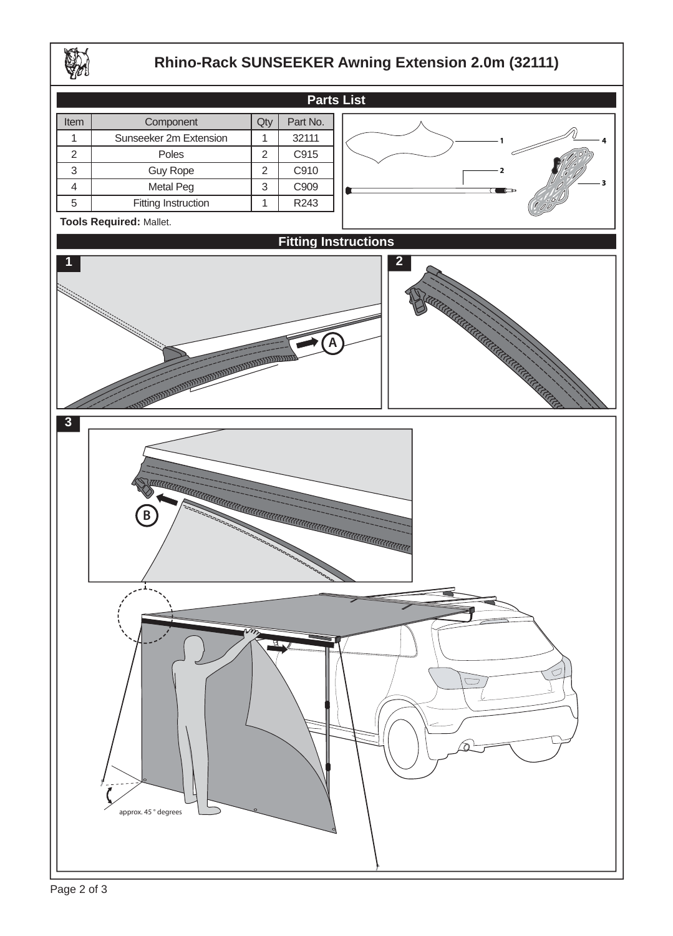

## **Rhino-Rack SUNSEEKER Awning Extension 2.0m (32111)**